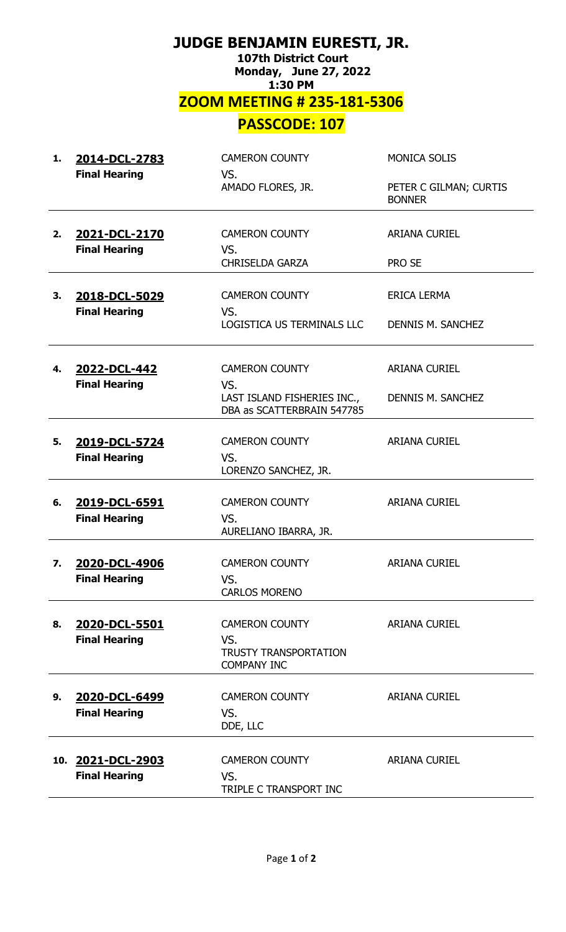## **JUDGE BENJAMIN EURESTI, JR. 107th District Court Monday, June 27, 2022 1:30 PM ZOOM MEETING # 235-181-5306 PASSCODE: 107**

| 1. | 2014-DCL-2783<br><b>Final Hearing</b>     | <b>CAMERON COUNTY</b><br>VS.                                                       | <b>MONICA SOLIS</b>                     |
|----|-------------------------------------------|------------------------------------------------------------------------------------|-----------------------------------------|
|    |                                           | AMADO FLORES, JR.                                                                  | PETER C GILMAN; CURTIS<br><b>BONNER</b> |
| 2. | 2021-DCL-2170<br><b>Final Hearing</b>     | <b>CAMERON COUNTY</b><br>VS.                                                       | <b>ARIANA CURIEL</b>                    |
|    |                                           | <b>CHRISELDA GARZA</b>                                                             | PRO SE                                  |
| 3. | 2018-DCL-5029<br><b>Final Hearing</b>     | <b>CAMERON COUNTY</b><br>VS.                                                       | <b>ERICA LERMA</b>                      |
|    |                                           | LOGISTICA US TERMINALS LLC                                                         | DENNIS M. SANCHEZ                       |
| 4. | 2022-DCL-442                              | <b>CAMERON COUNTY</b>                                                              | <b>ARIANA CURIEL</b>                    |
|    | <b>Final Hearing</b>                      | VS.<br>LAST ISLAND FISHERIES INC.,<br>DBA as SCATTERBRAIN 547785                   | DENNIS M. SANCHEZ                       |
| 5. | 2019-DCL-5724                             | <b>CAMERON COUNTY</b>                                                              | <b>ARIANA CURIEL</b>                    |
|    | <b>Final Hearing</b>                      | VS.<br>LORENZO SANCHEZ, JR.                                                        |                                         |
| 6. | 2019-DCL-6591                             | <b>CAMERON COUNTY</b>                                                              | <b>ARIANA CURIEL</b>                    |
|    | <b>Final Hearing</b>                      | VS.<br>AURELIANO IBARRA, JR.                                                       |                                         |
| 7. | 2020-DCL-4906<br><b>Final Hearing</b>     | <b>CAMERON COUNTY</b><br>VS.                                                       | <b>ARIANA CURIEL</b>                    |
|    |                                           | <b>CARLOS MORENO</b>                                                               |                                         |
| 8. | 2020-DCL-5501<br><b>Final Hearing</b>     | <b>CAMERON COUNTY</b><br>VS.<br><b>TRUSTY TRANSPORTATION</b><br><b>COMPANY INC</b> | <b>ARIANA CURIEL</b>                    |
| 9. | 2020-DCL-6499<br><b>Final Hearing</b>     | <b>CAMERON COUNTY</b><br>VS.<br>DDE, LLC                                           | <b>ARIANA CURIEL</b>                    |
|    | 10. 2021-DCL-2903<br><b>Final Hearing</b> | <b>CAMERON COUNTY</b><br>VS.<br>TRIPLE C TRANSPORT INC                             | <b>ARIANA CURIEL</b>                    |